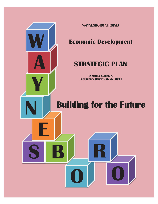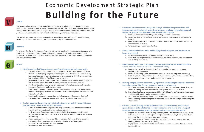#### **VISION**

The purpose of the Waynesboro Virginia Office of Economic Development is to stimulate the local economy through the creation of primary employment, capital investment, and increased travel (tourist) activity. We will be known by our integrity and the professional manner in which we handle issues. Our goal is to be responsive to our clients' needs and effectively enhance their successes.

The office's actions in concert with other regional and state partners will promote wealth-building, create a pro-business environment, and improve the quality of life of our citizens.

# **MISSION**

To promote the City of Waynesboro Virginia as a preferred location for economic growth by providing leadership in the community and region, collaboration among public and private partners, and distinctive marketing programs designed to accelerate the growth of capital investment, job creation, and increased tax revenue.

# **GOALS**

#### **1. Establish and market Waynesboro as a preferred location for business growth.**

- a. Initiate a review of the current "brand" (hospitality in the valley); modify or create "brand" – including logo, tag line, and or slogan – to best describe the unique selling features of business to business; business to consumer; and distinctive opportunities and locations within the City (downtown, parks, etc).
- b. Develop a comprehensive economic development website with pertinent information and data for business attraction, business retention, and business start up.
- c. Develop and produce quality economic development marketing materials including brochures, fact sheets, and advertisements.
- d. Create and implement an annual Tourism (business to consumer) marketing plan in concert with regional partners and activities. Draft to be completed in December, final in June for a July FY.
- e. Create and implement an annual Economic Development (Business to Business) marketing plan. Draft to be completed in December, final in June for a July FY.

#### **2. Create a business climate in which existing businesses are globally competitive and new businesses can be attracted and supported.**

- a. Review current incentive programs, including enterprise zone (boundaries and local incentives), business attraction, and business retention.
- b. Review with the City zoning, planning, and building departments to understand requirements and restrictions and to create an understandable timeline and possible streamlining.
- c. Create a pathway for entrepreneurship. Investigate start-up assistance currently available; review financing; angel networks; networks of assistance; etc.
- d. Continue / expand business visitation program.
- e. Develop new tools and resources.

# **3. Create and sustain economic prosperity through collaborative partnerships, with federal, state, and local public and private agencies; local and regional commercial**

a. Create an online database of City wide existing / available real estate.

b. Create a system of interaction with area real estate professionals and local property

- **real estate brokers and developers; and local property owners.**
	-
	- owners.
	- area and share resources.
	- d. Take advantage of grant opportunities.

c. Coordinate marketing opportunities and when appropriate, cooperatively market the

### **4. Plan and develop business parks and buildings for existing and new businesses to locate and expand.**

- a. Develop and aggressively market City owned industrial space.
- site, building, or complex.

b. Work with private property owners to improve, maximize potential, and market their

### **5. Establish Waynesboro as a regional tourist destination taking full advantage of the natural and historic resources of the Shenandoah Valley.**

a. Improve the overall "visitor experience" by expanding our volunteer network,

- availability, and resources.
- 
- 

b. Create a welcoming Visitor Information Center (s) – evaluate long term location (s). c. Examine possible future 'destination' activities or locations, such as outdoor recreation, cultural activities and venues, and group tours and packages.

## **6. Develop a highly skilled workforce fully capable of contributing to employer needs in a technology driven 21st Century business / industry environment.**

a. Work and coordinate with Virginia Department of Business Assistance, BRCC, JMU, and others to catalog and market workforce development needs and resources.

b. Evaluate skills of current workforce and identify 'skill gaps' with future workforce needs

- 
- address with training and secondary education.
- other trades.

c. Work with the Waynesboro Public Schools and other organizations to develop courses, career coaching, and skills to prepare for future workforces including manufacturing and

#### **7. Create a rich and inviting central business district characterized by unique shops, specialty restaurants, a full range of cultural resources and events, and a range of housing options appealing to young professionals and engaged older adults.**

a. Support the Redevelopment Housing Authority, other City Departments, and the WDDI in the execution of the recently (June 2011) awarded Community Development Block

b. Work with property owners to improve, maximize potential, and market their site,

- Grant, and the Streetscape, and Greenway projects.
- building, or complex (same as 4-b above).
- Business District.

c. Engage appropriate industry and support services to locate and operate in the Central

# Economic Development Strategic Plan **Building for the Future**



**V**